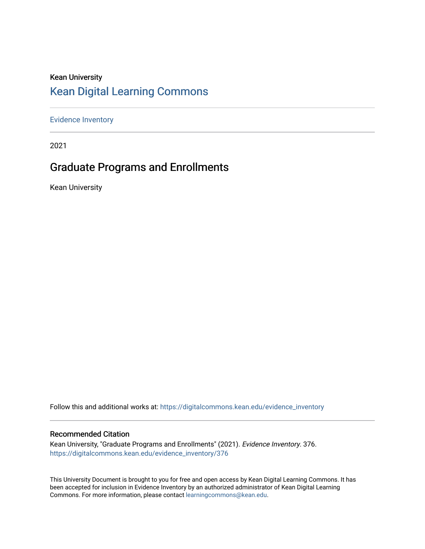# Kean University [Kean Digital Learning Commons](https://digitalcommons.kean.edu/)

[Evidence Inventory](https://digitalcommons.kean.edu/evidence_inventory) 

2021

# Graduate Programs and Enrollments

Kean University

Follow this and additional works at: [https://digitalcommons.kean.edu/evidence\\_inventory](https://digitalcommons.kean.edu/evidence_inventory?utm_source=digitalcommons.kean.edu%2Fevidence_inventory%2F376&utm_medium=PDF&utm_campaign=PDFCoverPages)

### Recommended Citation

Kean University, "Graduate Programs and Enrollments" (2021). Evidence Inventory. 376. [https://digitalcommons.kean.edu/evidence\\_inventory/376](https://digitalcommons.kean.edu/evidence_inventory/376?utm_source=digitalcommons.kean.edu%2Fevidence_inventory%2F376&utm_medium=PDF&utm_campaign=PDFCoverPages)

This University Document is brought to you for free and open access by Kean Digital Learning Commons. It has been accepted for inclusion in Evidence Inventory by an authorized administrator of Kean Digital Learning Commons. For more information, please contact [learningcommons@kean.edu.](mailto:learningcommons@kean.edu)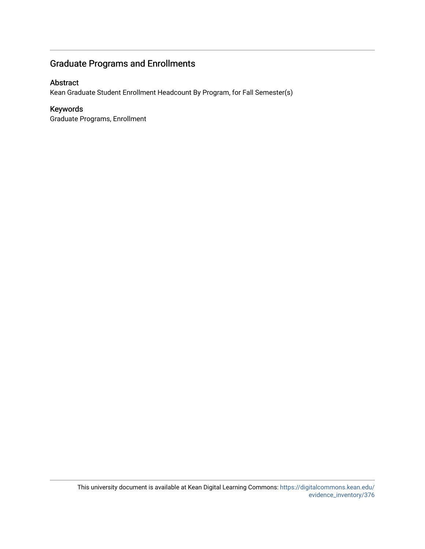## Graduate Programs and Enrollments

## Abstract

Kean Graduate Student Enrollment Headcount By Program, for Fall Semester(s)

## Keywords

Graduate Programs, Enrollment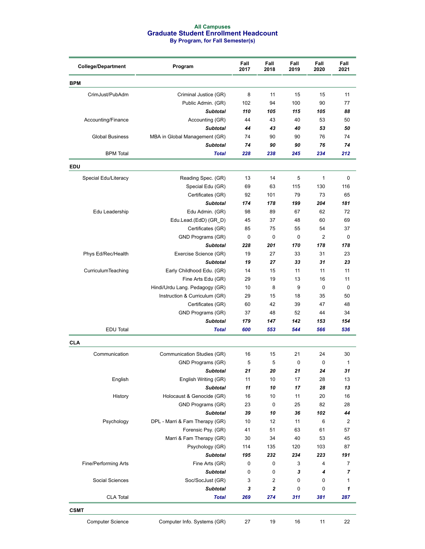#### **All Campuses Graduate Student Enrollment Headcount By Program, for Fall Semester(s)**

| <b>College/Department</b> | Program                        |     | Fall<br>2018   | Fall<br>2019 | Fall<br>2020 | Fall<br>2021 |
|---------------------------|--------------------------------|-----|----------------|--------------|--------------|--------------|
| <b>BPM</b>                |                                |     |                |              |              |              |
| CrimJust/PubAdm           | Criminal Justice (GR)          | 8   | 11             | 15           | 15           | 11           |
|                           | Public Admin. (GR)             | 102 | 94             | 100          | 90           | 77           |
|                           | <b>Subtotal</b>                | 110 | 105            | 115          | 105          | 88           |
| Accounting/Finance        | Accounting (GR)                | 44  | 43             | 40           | 53           | 50           |
|                           | <b>Subtotal</b>                | 44  | 43             | 40           | 53           | 50           |
| <b>Global Business</b>    | MBA in Global Management (GR)  | 74  | 90             | 90           | 76           | 74           |
|                           | <b>Subtotal</b>                | 74  | 90             | 90           | 76           | 74           |
| <b>BPM</b> Total          | <b>Total</b>                   | 228 | 238            | 245          | 234          | 212          |
| <b>EDU</b>                |                                |     |                |              |              |              |
| Special Edu/Literacy      | Reading Spec. (GR)             | 13  | 14             | 5            | $\mathbf{1}$ | 0            |
|                           | Special Edu (GR)               | 69  | 63             | 115          | 130          | 116          |
|                           | Certificates (GR)              | 92  | 101            | 79           | 73           | 65           |
|                           | <b>Subtotal</b>                | 174 | 178            | 199          | 204          | 181          |
| Edu Leadership            | Edu Admin. (GR)                | 98  | 89             | 67           | 62           | 72           |
|                           | Edu.Lead.(EdD) (GR_D)          | 45  | 37             | 48           | 60           | 69           |
|                           | Certificates (GR)              | 85  | 75             | 55           | 54           | 37           |
|                           | GND Programs (GR)              | 0   | 0              | 0            | 2            | 0            |
|                           | <b>Subtotal</b>                | 228 | 201            | 170          | 178          | 178          |
| Phys Ed/Rec/Health        | Exercise Science (GR)          | 19  | 27             | 33           | 31           | 23           |
|                           | <b>Subtotal</b>                | 19  | 27             | 33           | 31           | 23           |
| CurriculumTeaching        | Early Childhood Edu. (GR)      | 14  | 15             | 11           | 11           | 11           |
|                           | Fine Arts Edu (GR)             | 29  | 19             | 13           | 16           | 11           |
|                           | Hindi/Urdu Lang. Pedagogy (GR) | 10  | 8              | 9            | 0            | 0            |
|                           | Instruction & Curriculum (GR)  | 29  | 15             | 18           | 35           | 50           |
|                           | Certificates (GR)              | 60  | 42             | 39           | 47           | 48           |
|                           | GND Programs (GR)              | 37  | 48             | 52           | 44           | 34           |
|                           | <b>Subtotal</b>                | 179 | 147            | 142          | 153          | 154          |
| EDU Total                 | <b>Total</b>                   | 600 | 553            | 544          | 566          | 536          |
| <b>CLA</b>                |                                |     |                |              |              |              |
| Communication             | Communication Studies (GR)     | 16  | 15             | 21           | 24           | 30           |
|                           | GND Programs (GR)              | 5   | 5              | 0            | 0            | 1            |
|                           | Subtotal                       | 21  | 20             | 21           | 24           | 31           |
| English                   | English Writing (GR)           | 11  | 10             | 17           | 28           | 13           |
|                           | <b>Subtotal</b>                | 11  | 10             | 17           | 28           | 13           |
| History                   | Holocaust & Genocide (GR)      | 16  | 10             | 11           | 20           | 16           |
|                           | GND Programs (GR)              | 23  | $\mathbf 0$    | 25           | 82           | 28           |
|                           | <b>Subtotal</b>                | 39  | 10             | 36           | 102          | 44           |
| Psychology                | DPL - Marri & Fam Therapy (GR) | 10  | 12             | 11           | 6            | 2            |
|                           | Forensic Psy. (GR)             | 41  | 51             | 63           | 61           | 57           |
|                           | Marri & Fam Therapy (GR)       | 30  | 34             | 40           | 53           | 45           |
|                           | Psychology (GR)                | 114 | 135            | 120          | 103          | 87           |
|                           | <b>Subtotal</b>                | 195 | 232            | 234          | 223          | 191          |
| Fine/Performing Arts      | Fine Arts (GR)                 | 0   | 0              | 3            | 4            | 7            |
|                           | <b>Subtotal</b>                | 0   | 0              | 3            | 4            | 7            |
| Social Sciences           | Soc/SocJust (GR)               | 3   | 2              | 0            | 0            | 1            |
|                           | <b>Subtotal</b>                | 3   | $\overline{2}$ | 0            | 0            | 1            |
| <b>CLA Total</b>          | <b>Total</b>                   | 269 | 274            | 311          | 381          | 287          |
| <b>CSMT</b>               |                                |     |                |              |              |              |
| <b>Computer Science</b>   | Computer Info. Systems (GR)    | 27  | 19             | 16           | 11           | 22           |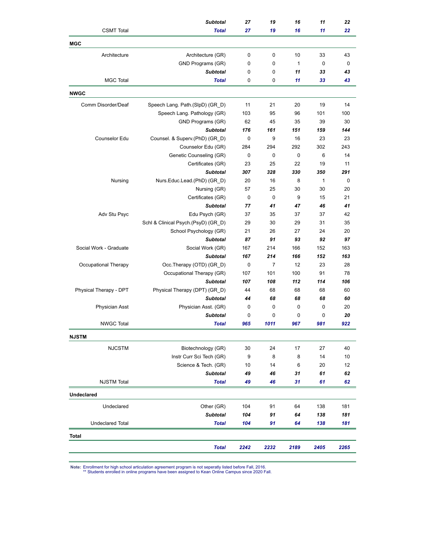|                         | <b>Subtotal</b>                     | 27          | 19             | 16           | 11           | 22   |
|-------------------------|-------------------------------------|-------------|----------------|--------------|--------------|------|
| <b>CSMT</b> Total       | <b>Total</b>                        | 27          | 19             | 16           | 11           | 22   |
| <b>MGC</b>              |                                     |             |                |              |              |      |
| Architecture            | Architecture (GR)                   | 0           | 0              | 10           | 33           | 43   |
|                         | GND Programs (GR)                   | 0           | 0              | $\mathbf{1}$ | 0            | 0    |
|                         | <b>Subtotal</b>                     | 0           | 0              | 11           | 33           | 43   |
| <b>MGC Total</b>        | <b>Total</b>                        | 0           | 0              | 11           | 33           | 43   |
| <b>NWGC</b>             |                                     |             |                |              |              |      |
| Comm Disorder/Deaf      | Speech Lang. Path.(SlpD) (GR_D)     | 11          | 21             | 20           | 19           | 14   |
|                         | Speech Lang. Pathology (GR)         | 103         | 95             | 96           | 101          | 100  |
|                         | GND Programs (GR)                   | 62          | 45             | 35           | 39           | 30   |
|                         | <b>Subtotal</b>                     | 176         | 161            | 151          | 159          | 144  |
| Counselor Edu           | Counsel. & Superv.(PhD) (GR_D)      | 0           | 9              | 16           | 23           | 23   |
|                         | Counselor Edu (GR)                  | 284         | 294            | 292          | 302          | 243  |
|                         | Genetic Counseling (GR)             | 0           | 0              | 0            | 6            | 14   |
|                         | Certificates (GR)                   | 23          | 25             | 22           | 19           | 11   |
|                         | <b>Subtotal</b>                     | 307         | 328            | 330          | 350          | 291  |
| Nursing                 | Nurs.Educ.Lead.(PhD) (GR_D)         | 20          | 16             | 8            | $\mathbf{1}$ | 0    |
|                         | Nursing (GR)                        | 57          | 25             | 30           | 30           | 20   |
|                         | Certificates (GR)                   | $\mathbf 0$ | 0              | 9            | 15           | 21   |
|                         | <b>Subtotal</b>                     | 77          | 41             | 47           | 46           | 41   |
| Adv Stu Psyc            | Edu Psych (GR)                      | 37          | 35             | 37           | 37           | 42   |
|                         | Schl & Clinical Psych.(PsyD) (GR_D) | 29          | 30             | 29           | 31           | 35   |
|                         | School Psychology (GR)              | 21          | 26             | 27           | 24           | 20   |
|                         | <b>Subtotal</b>                     | 87          | 91             | 93           | 92           | 97   |
| Social Work - Graduate  | Social Work (GR)                    | 167         | 214            | 166          | 152          | 163  |
|                         | <b>Subtotal</b>                     | 167         | 214            | 166          | 152          | 163  |
| Occupational Therapy    | Occ.Therapy (OTD) (GR_D)            | 0           | $\overline{7}$ | 12           | 23           | 28   |
|                         | Occupational Therapy (GR)           | 107         | 101            | 100          | 91           | 78   |
|                         | <b>Subtotal</b>                     | 107         | 108            | 112          | 114          | 106  |
| Physical Therapy - DPT  | Physical Therapy (DPT) (GR_D)       | 44          | 68             | 68           | 68           | 60   |
|                         | <b>Subtotal</b>                     | 44          | 68             | 68           | 68           | 60   |
| <b>Physician Asst</b>   | Physician Asst. (GR)                | 0           | 0              | 0            | 0            | 20   |
|                         | <b>Subtotal</b>                     | 0           | 0              | 0            | 0            | 20   |
| <b>NWGC Total</b>       | <b>Total</b>                        | 965         | 1011           | 967          | 981          | 922  |
| <b>NJSTM</b>            |                                     |             |                |              |              |      |
| <b>NJCSTM</b>           | Biotechnology (GR)                  | 30          | 24             | 17           | 27           | 40   |
|                         | Instr Curr Sci Tech (GR)            | 9           | 8              | 8            | 14           | 10   |
|                         | Science & Tech. (GR)                | 10          | 14             | 6            | 20           | 12   |
|                         | <b>Subtotal</b>                     | 49          | 46             | 31           | 61           | 62   |
| <b>NJSTM Total</b>      | <b>Total</b>                        | 49          | 46             | 31           | 61           | 62   |
| <b>Undeclared</b>       |                                     |             |                |              |              |      |
| Undeclared              | Other (GR)                          | 104         | 91             | 64           | 138          | 181  |
|                         | <b>Subtotal</b>                     | 104         | 91             | 64           | 138          | 181  |
| <b>Undeclared Total</b> | <b>Total</b>                        | 104         | 91             | 64           | 138          | 181  |
| <b>Total</b>            |                                     |             |                |              |              |      |
|                         | <b>Total</b>                        | 2242        | 2232           | 2189         | 2405         | 2265 |
|                         |                                     |             |                |              |              |      |

**Note:** Enrollment for high school articulation agreement program is not seperatly listed before Fall, 2016. \*\* Students enrolled in online programs have been assigned to Kean Online Campus since 2020 Fall.